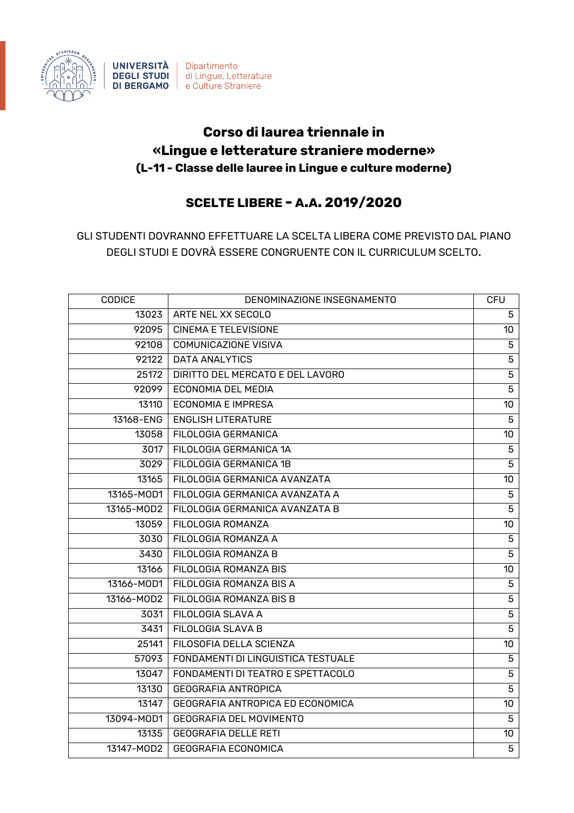

**UNIVERSITÀ** Dipartimento **DEGLI STUDI** di Lingue, Letterature **DI BERGAMO** e Culture Straniere

## **Corso di laurea triennale in «Lingue e letterature straniere moderne» (L-11 - Classe delle lauree in Lingue e culture moderne)**

## **SCELTE LIBERE - A.A. 2019/2020**

GLI STUDENTI DOVRANNO EFFETTUARE LA SCELTA LIBERA COME PREVISTO DAL PIANO DEGLI STUDI E DOVRÀ ESSERE CONGRUENTE CON IL CURRICULUM SCELTO.

| CODICE            | DENOMINAZIONE INSEGNAMENTO         | <b>CFU</b>     |
|-------------------|------------------------------------|----------------|
| 13023             | ARTE NEL XX SECOLO                 | 5              |
| 92095             | <b>CINEMA E TELEVISIONE</b>        | 10             |
| $\frac{1}{92108}$ | <b>COMUNICAZIONE VISIVA</b>        | $\overline{5}$ |
| 92122             | <b>DATA ANALYTICS</b>              | $\overline{5}$ |
| 25172             | DIRITTO DEL MERCATO E DEL LAVORO   | $\overline{5}$ |
| 92099             | <b>ECONOMIA DEL MEDIA</b>          | $\overline{5}$ |
| 13110             | <b>ECONOMIA E IMPRESA</b>          | 10             |
| 13168-ENG         | <b>ENGLISH LITERATURE</b>          | 5              |
| 13058             | FILOLOGIA GERMANICA                | 10             |
| 3017              | FILOLOGIA GERMANICA 1A             | $\mathbf 5$    |
| 3029              | FILOLOGIA GERMANICA 1B             | $\overline{5}$ |
| 13165             | FILOLOGIA GERMANICA AVANZATA       | 10             |
| 13165-MOD1        | FILOLOGIA GERMANICA AVANZATA A     | 5              |
| 13165-MOD2        | FILOLOGIA GERMANICA AVANZATA B     | $\overline{5}$ |
| 13059             | FILOLOGIA ROMANZA                  | 10             |
| 3030              | FILOLOGIA ROMANZA A                | $\overline{5}$ |
| 3430              | FILOLOGIA ROMANZA B                | $\overline{5}$ |
| 13166             | FILOLOGIA ROMANZA BIS              | 10             |
| 13166-MOD1        | FILOLOGIA ROMANZA BIS A            | 5              |
| 13166-MOD2        | FILOLOGIA ROMANZA BIS B            | $\overline{5}$ |
| 3031              | FILOLOGIA SLAVA A                  | $\overline{5}$ |
| 3431              | FILOLOGIA SLAVA B                  | $\overline{5}$ |
| 25141             | FILOSOFIA DELLA SCIENZA            | 10             |
| 57093             | FONDAMENTI DI LINGUISTICA TESTUALE | 5              |
| 13047             | FONDAMENTI DI TEATRO E SPETTACOLO  | $\overline{5}$ |
| 13130             | <b>GEOGRAFIA ANTROPICA</b>         | $\overline{5}$ |
| 13147             | GEOGRAFIA ANTROPICA ED ECONOMICA   | 10             |
| 13094-MOD1        | <b>GEOGRAFIA DEL MOVIMENTO</b>     | $\overline{5}$ |
| 13135             | <b>GEOGRAFIA DELLE RETI</b>        | 10             |
| 13147-MOD2        | <b>GEOGRAFIA ECONOMICA</b>         | 5              |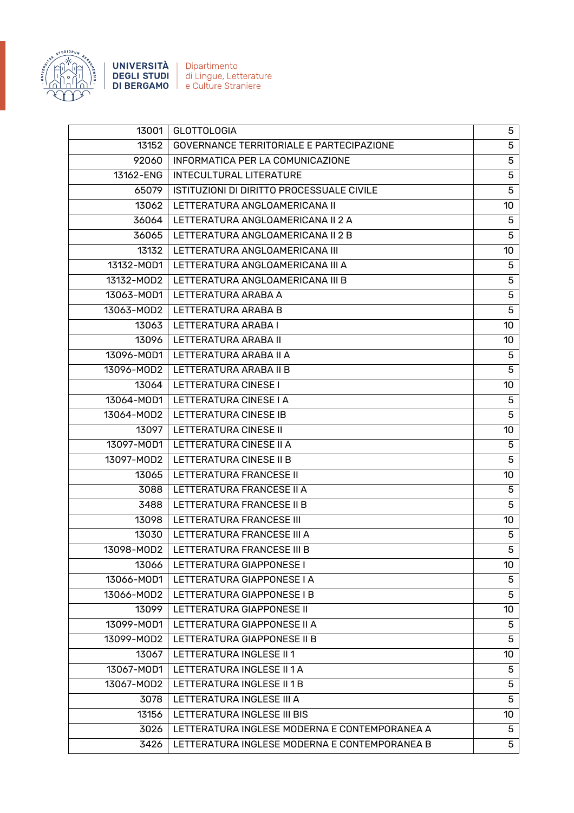

**UNIVERSITÀ** Dipartimento<br> **DEGLI STUDI** di Lingue, Letterature<br> **DI BERGAMO** e Culture Straniere

| 13001<br><b>GLOTTOLOGIA</b>                    | 5               |
|------------------------------------------------|-----------------|
|                                                |                 |
| GOVERNANCE TERRITORIALE E PARTECIPAZIONE       | $\overline{5}$  |
| INFORMATICA PER LA COMUNICAZIONE               | 5               |
| <b>INTECULTURAL LITERATURE</b>                 | 5               |
| ISTITUZIONI DI DIRITTO PROCESSUALE CIVILE      | $\overline{5}$  |
| LETTERATURA ANGLOAMERICANA II                  | 10 <sup>°</sup> |
| LETTERATURA ANGLOAMERICANA II 2 A              | 5               |
| LETTERATURA ANGLOAMERICANA II 2 B              | $\overline{5}$  |
| 13132<br>LETTERATURA ANGLOAMERICANA III        | 10 <sup>°</sup> |
| 13132-MOD1<br>LETTERATURA ANGLOAMERICANA III A | 5               |
| 13132-MOD2<br>LETTERATURA ANGLOAMERICANA III B | $\overline{5}$  |
| 13063-MOD1<br>LETTERATURA ARABA A              | $\mathbf 5$     |
| 13063-MOD2<br>LETTERATURA ARABA B              | 5               |
| LETTERATURA ARABA I                            | 10              |
| LETTERATURA ARABA II<br>13096                  | 10 <sup>°</sup> |
| LETTERATURA ARABA II A<br>13096-MOD1           | 5               |
| 13096-MOD2   LETTERATURA ARABA II B            | 5               |
| LETTERATURA CINESE I<br>13064                  | 10 <sup>°</sup> |
| 13064-MOD1<br>LETTERATURA CINESE I A           | 5               |
| LETTERATURA CINESE IB<br>13064-MOD2            | 5               |
| <b>LETTERATURA CINESE II</b><br>13097          | 10              |
| 13097-MOD1<br>LETTERATURA CINESE II A          | 5               |
| 13097-MOD2<br>LETTERATURA CINESE II B          | 5               |
| LETTERATURA FRANCESE II                        | 10 <sup>°</sup> |
| LETTERATURA FRANCESE II A                      | 5               |
| LETTERATURA FRANCESE II B                      | 5               |
| LETTERATURA FRANCESE III                       | 10 <sup>°</sup> |
| LETTERATURA FRANCESE III A<br>$13030$          | 5               |
| 13098-MOD2   LETTERATURA FRANCESE III B        | 5               |
| LETTERATURA GIAPPONESE I                       | 10 <sup>°</sup> |
| LETTERATURA GIAPPONESE I A                     | 5               |
| LETTERATURA GIAPPONESE I B                     | 5               |
| <b>LETTERATURA GIAPPONESE II</b>               | 10 <sup>°</sup> |
| 13099-MOD1<br>LETTERATURA GIAPPONESE II A      | 5               |
| LETTERATURA GIAPPONESE II B                    | 5               |
| LETTERATURA INGLESE II 1                       | 10 <sup>°</sup> |
| LETTERATURA INGLESE II 1 A                     | 5               |
| LETTERATURA INGLESE II 1 B                     | 5               |
| LETTERATURA INGLESE III A                      | $\overline{5}$  |
| LETTERATURA INGLESE III BIS                    | 10 <sup>°</sup> |
| LETTERATURA INGLESE MODERNA E CONTEMPORANEA A  | 5               |
| LETTERATURA INGLESE MODERNA E CONTEMPORANEA B  | 5               |
|                                                |                 |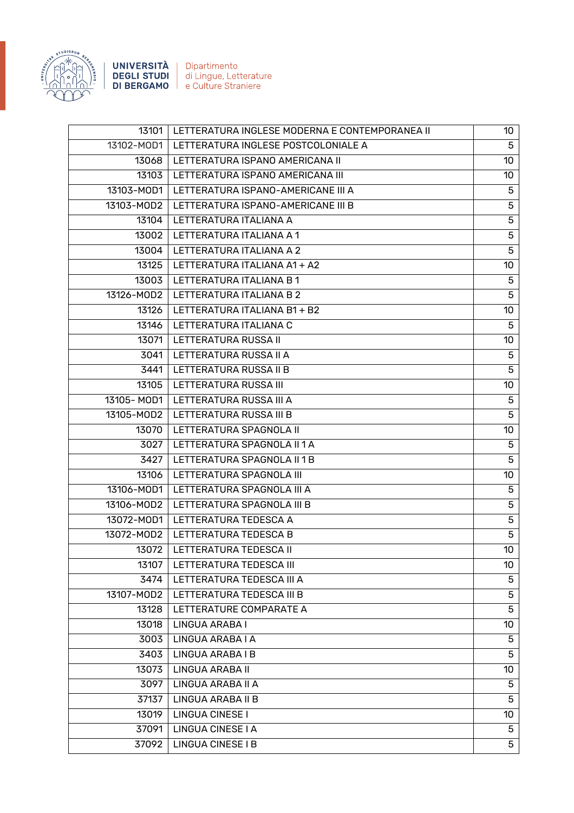

UNIVERSITÀ Dipartimento **DEGLI STUDI** di Lingue, Letterature **DI BERGAMO** | e Culture Straniere

13101 | LETTERATURA INGLESE MODERNA E CONTEMPORANEA II | 10 13102-MOD1 LETTERATURA INGLESE POSTCOLONIALE A 5 13068 LETTERATURA ISPANO AMERICANA II 1000 PO 1000 PO 1000 PO 1000 PO 1000 PO 1000 PO 1000 PO 1000 PO 1000 PO 1 13103 LETTERATURA ISPANO AMERICANA III 10 13103-MOD1 | LETTERATURA ISPANO-AMERICANE III A 5 13103-MOD2 LETTERATURA ISPANO-AMERICANE III B 5 13104 LETTERATURA ITALIANA A 5 13002 LETTERATURA ITALIANA A 1 S 13004 LETTERATURA ITALIANA A 2 5 13125 LETTERATURA ITALIANA A1 + A2 10 10 13003 LETTERATURA ITALIANA B 1 5 13126-MOD2 LETTERATURA ITALIANA B 2 5 13126 LETTERATURA ITALIANA B1 + B2 10 13146 LETTERATURA ITALIANA C 5 13071 LETTERATURA RUSSA II 1000 - 1000 MHz 1000 MHz 1000 MHz 1000 MHz 1000 MHz 100 3041 LETTERATURA RUSSA II A 5 3441 LETTERATURA RUSSA II B 5 13105 LETTERATURA RUSSA III 1000 NOVEMBRE 2000 NOVEMBRE 2000 NOVEMBRE 2000 NOVEMBRE 2000 NOVEMBRE 2000 NOVEMBR 13105- MOD1 LETTERATURA RUSSA III A 5 13105-MOD2 LETTERATURA RUSSA III B 5 13070 LETTERATURA SPAGNOLA II 10 3027 LETTERATURA SPAGNOLA II 1 A 5 3427 LETTERATURA SPAGNOLA II 1 B 5 13106 LETTERATURA SPAGNOLA III 1000 PROVIDENTI 1000 PROVIDENTI 1000 PROVIDENTI 1000 PROVIDENTI 1000 PROVIDENTI 13106-MOD1 LETTERATURA SPAGNOLA III A 5 13106-MOD2 LETTERATURA SPAGNOLA III B 5 13072-MOD1 | LETTERATURA TEDESCA A 5 13072-MOD2 LETTERATURA TEDESCA B 5 13072 LETTERATURA TEDESCA II 10 13107 LETTERATURA TEDESCA III 1000 ANNI 1000 METATURA TEDESCA III 1000 METATURA TEDESCA III 1000 METATURA TEDESCA III 3474 LETTERATURA TEDESCA III A 5 13107-MOD2 LETTERATURA TEDESCA III B 5 13128 LETTERATURE COMPARATE A 5 13018 LINGUA ARABA I 10 3003 LINGUA ARABA I A 5 3403 LINGUA ARABA I B 5 13073 | LINGUA ARABA II 100 | 100 | 100 | 100 | 100 | 100 | 100 | 100 | 100 | 100 | 100 | 100 | 100 | 100 | 10 3097 LINGUA ARABA II A 5 37137 LINGUA ARABA II B 5 13019 LINGUA CINESE I 10 37091 LINGUA CINESE I A 5 37092 LINGUA CINESE I B 5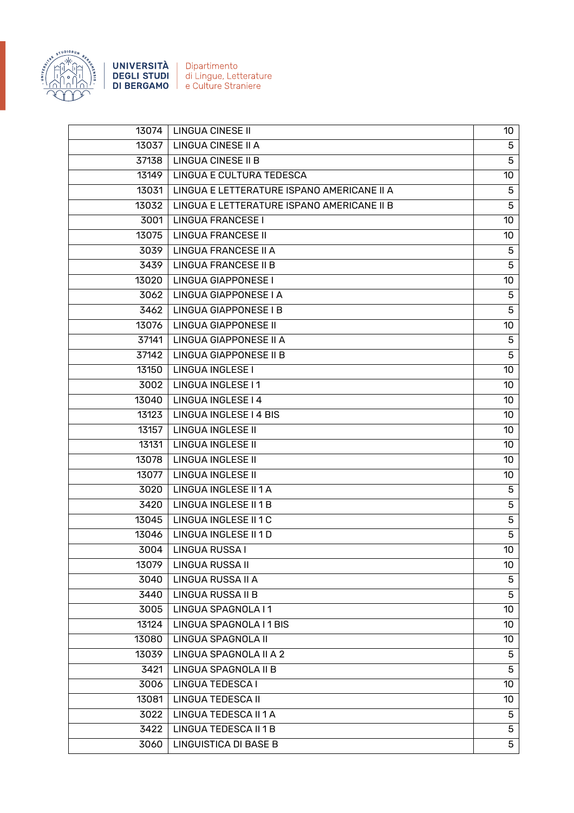

**UNIVERSITÀ** Dipartimento<br> **DEGLI STUDI** di Lingue, Letterature<br> **DI BERGAMO** e Culture Straniere

| 13074 | <b>LINGUA CINESE II</b>                    | 10 <sup>°</sup> |
|-------|--------------------------------------------|-----------------|
| 13037 | <b>LINGUA CINESE II A</b>                  | 5               |
| 37138 | <b>LINGUA CINESE II B</b>                  | 5               |
| 13149 | LINGUA E CULTURA TEDESCA                   | 10              |
| 13031 | LINGUA E LETTERATURE ISPANO AMERICANE II A | 5               |
| 13032 | LINGUA E LETTERATURE ISPANO AMERICANE II B | 5               |
| 3001  | <b>LINGUA FRANCESE I</b>                   | 10              |
| 13075 | <b>LINGUA FRANCESE II</b>                  | 10              |
| 3039  | <b>LINGUA FRANCESE II A</b>                | 5               |
| 3439  | <b>LINGUA FRANCESE II B</b>                | $\overline{5}$  |
| 13020 | <b>LINGUA GIAPPONESE I</b>                 | 10              |
| 3062  | LINGUA GIAPPONESE I A                      | 5               |
| 3462  | LINGUA GIAPPONESE I B                      | $\overline{5}$  |
| 13076 | <b>LINGUA GIAPPONESE II</b>                | 10              |
| 37141 | LINGUA GIAPPONESE II A                     | 5               |
| 37142 | LINGUA GIAPPONESE II B                     | 5               |
| 13150 | <b>LINGUA INGLESE I</b>                    | 10              |
| 3002  | LINGUA INGLESE I1                          | 10              |
| 13040 | <b>LINGUA INGLESE I 4</b>                  | 10              |
| 13123 | LINGUA INGLESE I 4 BIS                     | 10              |
| 13157 | <b>LINGUA INGLESE II</b>                   | 10              |
| 13131 | <b>LINGUA INGLESE II</b>                   | 10              |
| 13078 | <b>LINGUA INGLESE II</b>                   | 10              |
| 13077 | <b>LINGUA INGLESE II</b>                   | 10              |
| 3020  | LINGUA INGLESE II 1 A                      | 5               |
| 3420  | LINGUA INGLESE II 1 B                      | 5               |
| 13045 | <b>LINGUA INGLESE II 1 C</b>               | 5               |
| 13046 | LINGUA INGLESE II 1 D                      | 5               |
| 3004  | <b>LINGUA RUSSA I</b>                      | 10              |
| 13079 | <b>LINGUA RUSSA II</b>                     | 10              |
| 3040  | LINGUA RUSSA II A                          | 5               |
| 3440  | <b>LINGUA RUSSA II B</b>                   | $\overline{5}$  |
| 3005  | LINGUA SPAGNOLA I 1                        | 10              |
| 13124 | LINGUA SPAGNOLA I 1 BIS                    | 10              |
| 13080 | LINGUA SPAGNOLA II                         | 10              |
| 13039 | LINGUA SPAGNOLA II A 2                     | 5               |
| 3421  | LINGUA SPAGNOLA II B                       | 5               |
| 3006  | LINGUA TEDESCA I                           | 10              |
| 13081 | <b>LINGUA TEDESCA II</b>                   | 10              |
| 3022  | LINGUA TEDESCA II 1 A                      | 5               |
| 3422  | LINGUA TEDESCA II 1 B                      | $\overline{5}$  |
| 3060  | <b>LINGUISTICA DI BASE B</b>               | 5               |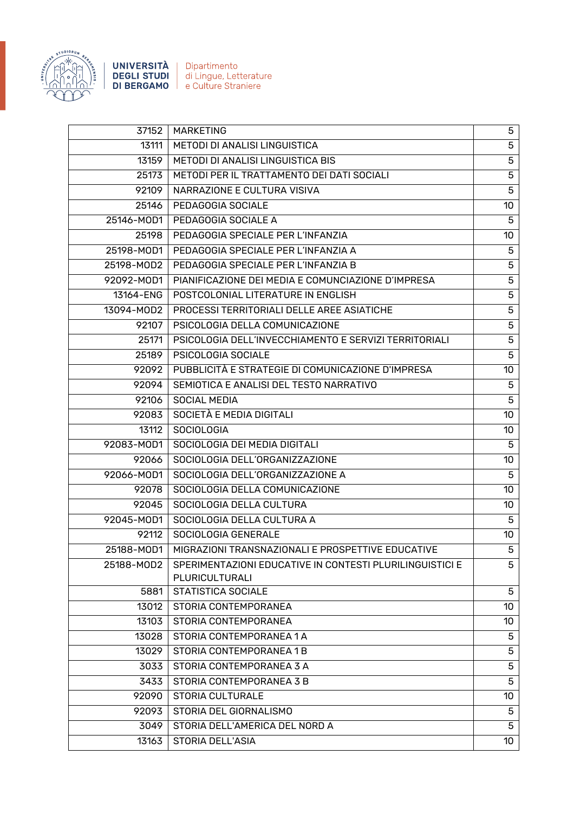

UNIVERSITÀ Dipartimento **DEGLI STUDI** di Lingue, Letterature **DI BERGAMO** | e Culture Straniere

37152 MARKETING 5 13111 METODI DI ANALISI LINGUISTICA 5 13159 METODI DI ANALISI LINGUISTICA BIS 5 25173 METODI PER IL TRATTAMENTO DEI DATI SOCIALI 5 92109 NARRAZIONE E CULTURA VISIVA 5 25146 PEDAGOGIA SOCIALE 25146 PEDAGOGIA SOCIALE 25146-MOD1 PEDAGOGIA SOCIALE A 5 25198 PEDAGOGIA SPECIALE PER L'INFANZIA 10 25198-MOD1 PEDAGOGIA SPECIALE PER L'INFANZIA A 5 25198-MOD2 PEDAGOGIA SPECIALE PER L'INFANZIA B 5 92092-MOD1 PIANIFICAZIONE DEI MEDIA E COMUNCIAZIONE D'IMPRESA 5 13164-ENG POSTCOLONIAL LITERATURE IN ENGLISH FOR THE STATE IN EXAMPLE ASSETS THE STATE IN EXAMPLE THE STATE I 13094-MOD2 | PROCESSI TERRITORIALI DELLE AREE ASIATICHE  $\qquad \qquad \qquad \qquad$ 92107 PSICOLOGIA DELLA COMUNICAZIONE 5 25171 PSICOLOGIA DELL'INVECCHIAMENTO E SERVIZI TERRITORIALI 5 25189 PSICOLOGIA SOCIALE 25189 PSICOLOGIA SOCIALE 92092 | PUBBLICITÀ E STRATEGIE DI COMUNICAZIONE D'IMPRESA | 10 92094 SEMIOTICA E ANALISI DEL TESTO NARRATIVO SUNTENSIONALE E ANALISI DEL TESTO NARRATIVO 92106 SOCIAL MEDIA 5 92083 SOCIETÀ E MEDIA DIGITALI 10 DELL'INSERNATIONE DELL'INSERNATION DI L'ANNO 10 13112 SOCIOLOGIA 13112 10 92083-MOD1 SOCIOLOGIA DEI MEDIA DIGITALI 5 92066 SOCIOLOGIA DELL'ORGANIZZAZIONE 10 10 92066-MOD1 SOCIOLOGIA DELL'ORGANIZZAZIONE A 5 92078 SOCIOLOGIA DELLA COMUNICAZIONE 10 10 92045 SOCIOLOGIA DELLA CULTURA 10 10 92045-MOD1 SOCIOLOGIA DELLA CULTURA A SANTO A SANTO A SANTO A SANTO A SANTO A SANTO A SANTO A SANTO A SANTO A S 92112 SOCIOLOGIA GENERALE 10 10 10 10 10 25188-MOD1 | MIGRAZIONI TRANSNAZIONALI E PROSPETTIVE EDUCATIVE | 5 25188-MOD2 SPERIMENTAZIONI EDUCATIVE IN CONTESTI PLURILINGUISTICI E PLURICULTURALI 5 5881 STATISTICA SOCIALE 5 13012 STORIA CONTEMPORANEA 10 10 13103 STORIA CONTEMPORANEA 13103 | 10 13028 STORIA CONTEMPORANEA 1 A 5 13029 STORIA CONTEMPORANEA 1 B 5 3033 STORIA CONTEMPORANEA 3 A 5 3433 | STORIA CONTEMPORANEA 3 B 5 92090 STORIA CULTURALE 10 NOVEMBER 10 NO. 10 92093 STORIA DEL GIORNALISMO SENSIDO EN ENTRE EL SUDO DE EL SUDO EN EL SUDO DEL SUDO DEL SUDO DE EL SUDO DE EL 3049 STORIA DELL'AMERICA DEL NORD A 5 13163 STORIA DELL'ASIA 1000 DELL'ASIA 1000 DELL'ASIA